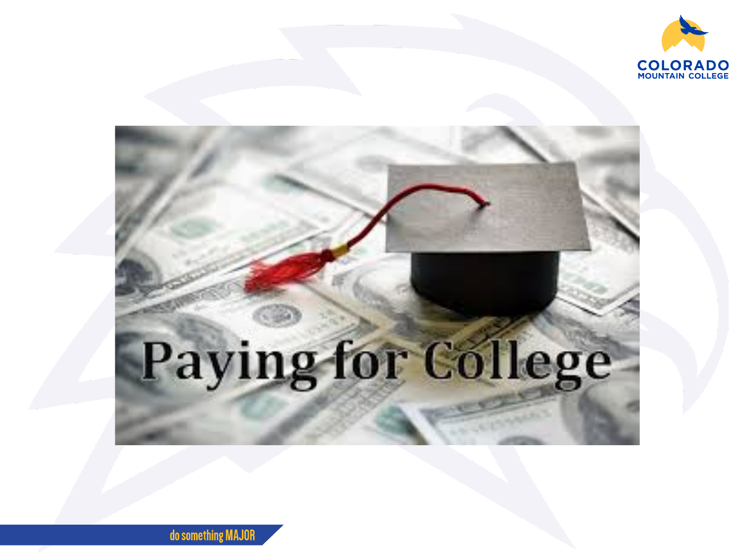

# Paying for College

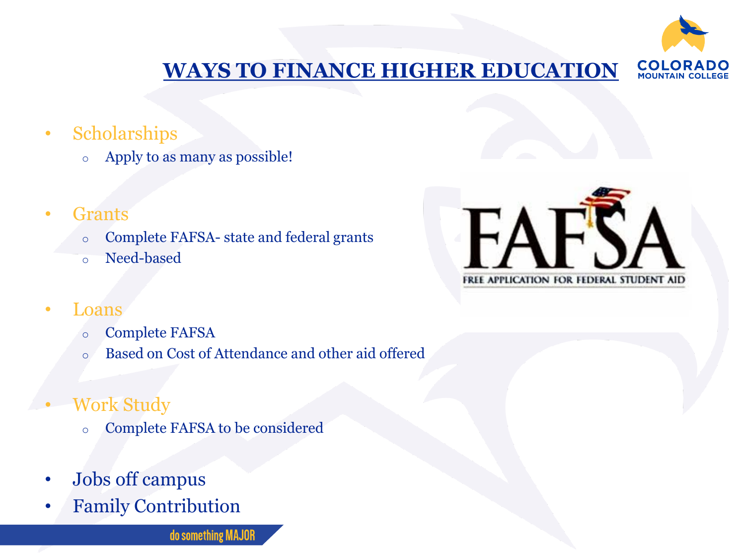

#### **WAYS TO [FINANCE HIGHER EDUCATION](https://www.youtube.com/watch?v=Pn4OECMTh5w&feature=youtu.be)** COLO **MOUNTAIN CO**

- Scholarships
	- o Apply to as many as possible!
- Grants
	- o Complete FAFSA- state and federal grants
	- o Need-based



- Loans
	- o Complete FAFSA
	- o Based on Cost of Attendance and other aid offered
- Work Study
	- o Complete FAFSA to be considered
- Jobs off campus
- Family Contribution

do something MAJOR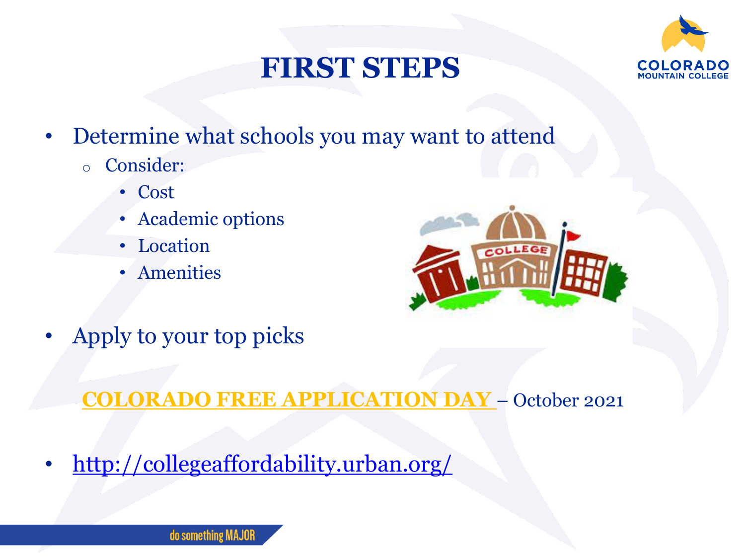## **FIRST STEPS**



- Determine what schools you may want to attend
	- o Consider:
		- Cost
		- Academic options
		- Location
		- Amenities



Apply to your top picks

**[COLORADO FREE APPLICATION DAY](https://cdhe.colorado.gov/colorado-free-application-day-is-october-13-2020)** – October 2021

• <http://collegeaffordability.urban.org/>

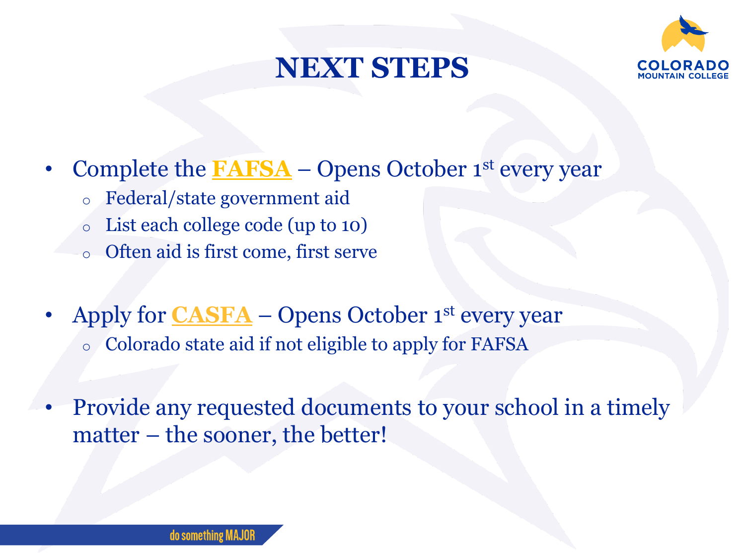## **NEXT STEPS**



- Complete the **[FAFSA](https://studentaid.gov/h/apply-for-aid/fafsa)** Opens October 1<sup>st</sup> every year
	- o Federal/state government aid
	- List each college code (up to 10)
	- o Often aid is first come, first serve
- Apply for **[CASFA](https://highered.colorado.gov/students/preparing-for-college/colorado-application-for-state-financial-aid)** Opens October 1<sup>st</sup> every year o Colorado state aid if not eligible to apply for FAFSA
- Provide any requested documents to your school in a timely matter – the sooner, the better!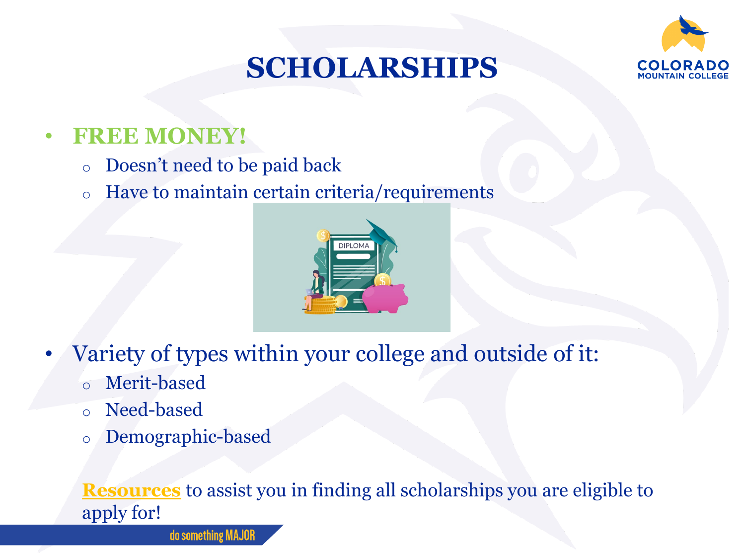## **SCHOLARSHIPS**



#### • **FREE MONEY!**

- o Doesn't need to be paid back
- o Have to maintain certain criteria/requirements



- Variety of types within your college and outside of it:
	- o Merit-based
	- o Need-based
	- o Demographic-based

#### **[Resources](https://studentaid.gov/understand-aid/types/scholarships)** to assist you in finding all scholarships you are eligible to apply for!

do something MAJOF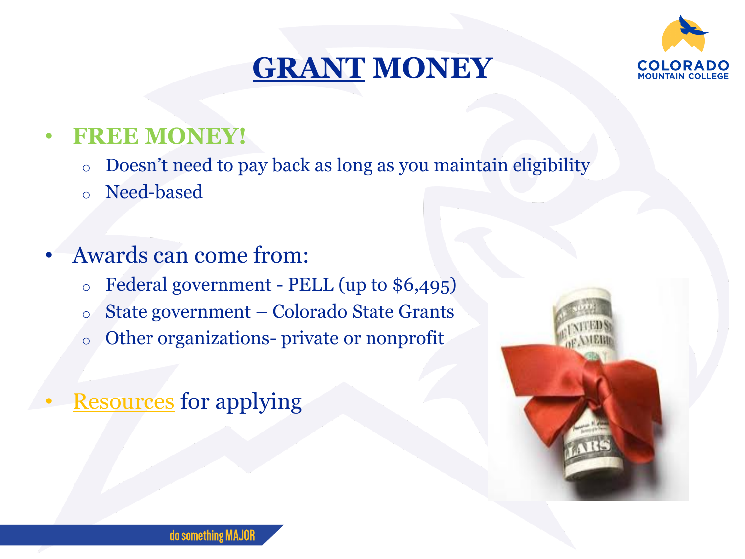## **[GRANT](https://www.collegegrants.org/colorado-college-grants.html) MONEY**



#### • **FREE MONEY!**

- o Doesn't need to pay back as long as you maintain eligibility
- o Need-based

### • Awards can come from:

- $\circ$  Federal government PELL (up to \$6,495)
- o State government Colorado State Grants
- o Other organizations- private or nonprofit

## **[Resources](https://studentaid.gov/understand-aid/types/grants)** for applying

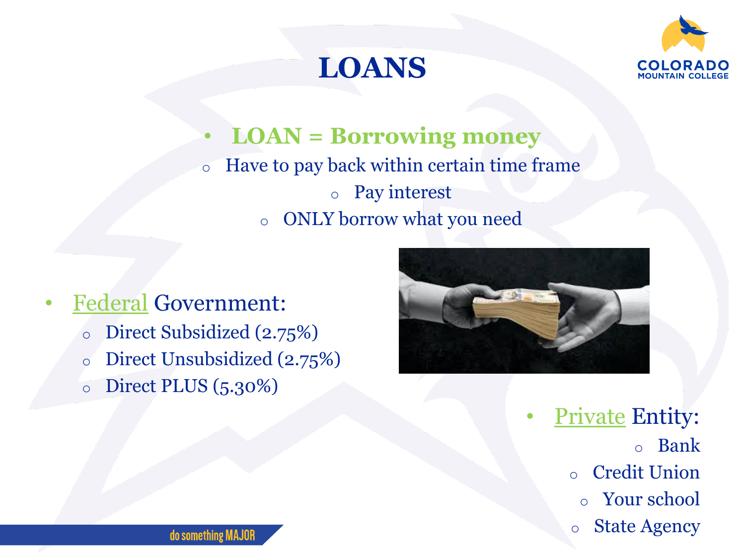## **LOANS**



#### • **LOAN = Borrowing money** o Have to pay back within certain time frame o Pay interest o ONLY borrow what you need

• [Federal](https://studentaid.gov/understand-aid/types/loans) Government: o Direct Subsidized (2.75%) o Direct Unsubsidized (2.75%) o Direct PLUS (5.30%)



**[Private](https://studentaid.gov/understand-aid/types/loans/federal-vs-private) Entity:** o Bank o Credit Union o Your school

o State Agency

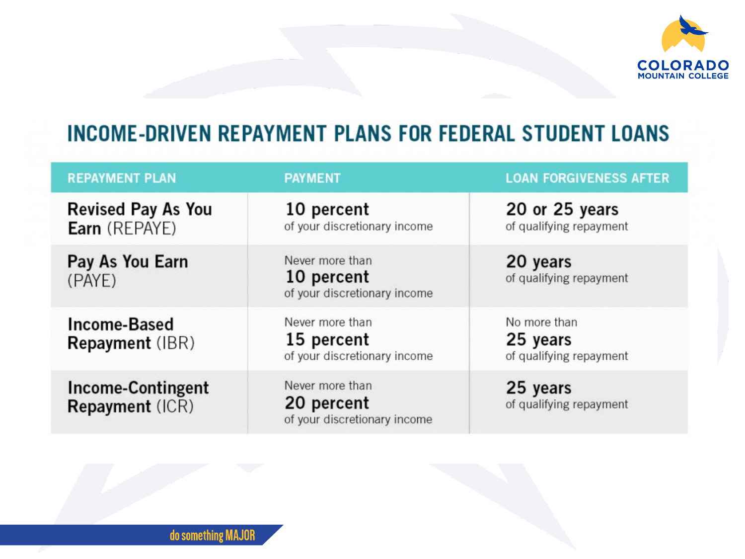

#### **INCOME-DRIVEN REPAYMENT PLANS FOR FEDERAL STUDENT LOANS**

| <b>REPAYMENT PLAN</b>                              | <b>PAYMENT</b>                                                | <b>LOAN FORGIVENESS AFTER</b>                       |
|----------------------------------------------------|---------------------------------------------------------------|-----------------------------------------------------|
| <b>Revised Pay As You</b><br><b>Earn</b> (REPAYE)  | 10 percent<br>of your discretionary income                    | 20 or 25 years<br>of qualifying repayment           |
| Pay As You Earn<br>(PAYE)                          | Never more than<br>10 percent<br>of your discretionary income | 20 years<br>of qualifying repayment                 |
| <b>Income-Based</b><br><b>Repayment</b> (IBR)      | Never more than<br>15 percent<br>of your discretionary income | No more than<br>25 years<br>of qualifying repayment |
| <b>Income-Contingent</b><br><b>Repayment (ICR)</b> | Never more than<br>20 percent<br>of your discretionary income | 25 years<br>of qualifying repayment                 |

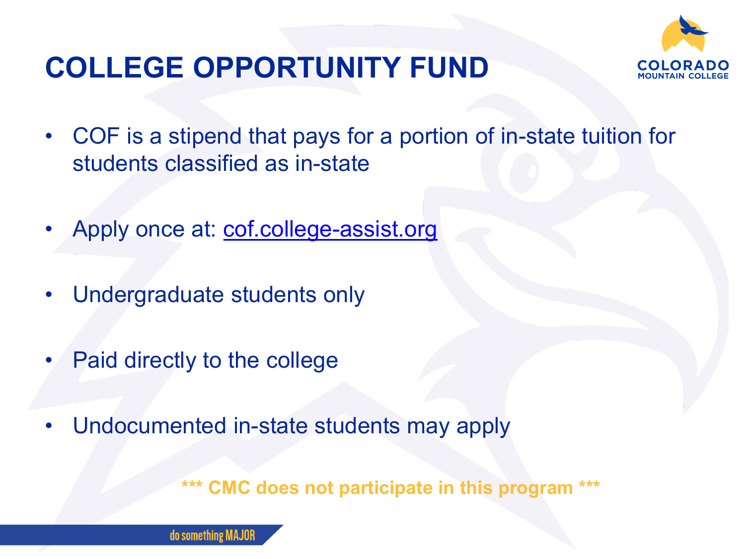

## **COLLEGE OPPORTUNITY FUND**

- COF is a stipend that pays for a portion of in-state tuition for students classified as in-state
- Apply once at: [cof.college-assist.org](https://cof.college-assist.org/)
- Undergraduate students only
- Paid directly to the college
- Undocumented in-state students may apply

**\*\*\* CMC does not participate in this program \*\*\***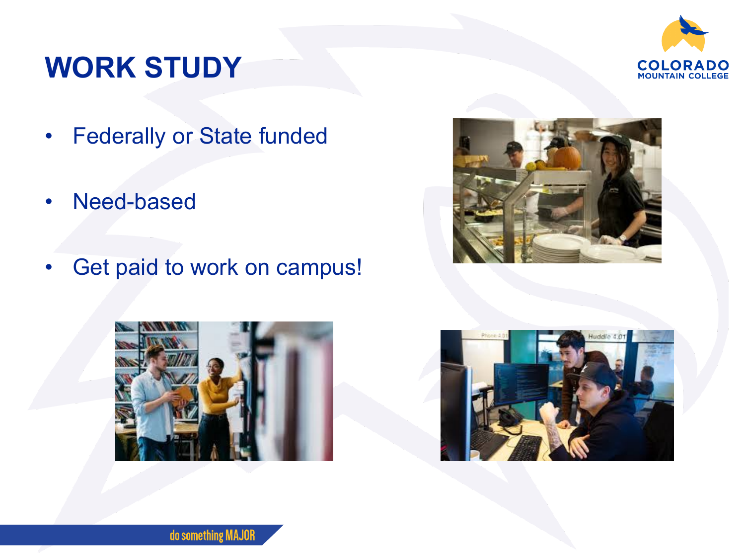## **WORK STUDY**



- Federally or State funded
- Need-based
- Get paid to work on campus!





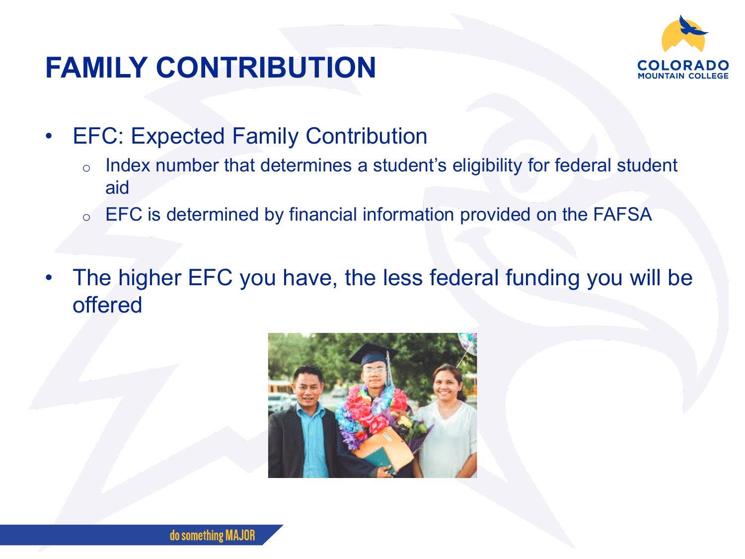

## **FAMILY CONTRIBUTION**

- EFC: Expected Family Contribution
	- o Index number that determines a student's eligibility for federal student aid
	- o EFC is determined by financial information provided on the FAFSA
- The higher EFC you have, the less federal funding you will be offered

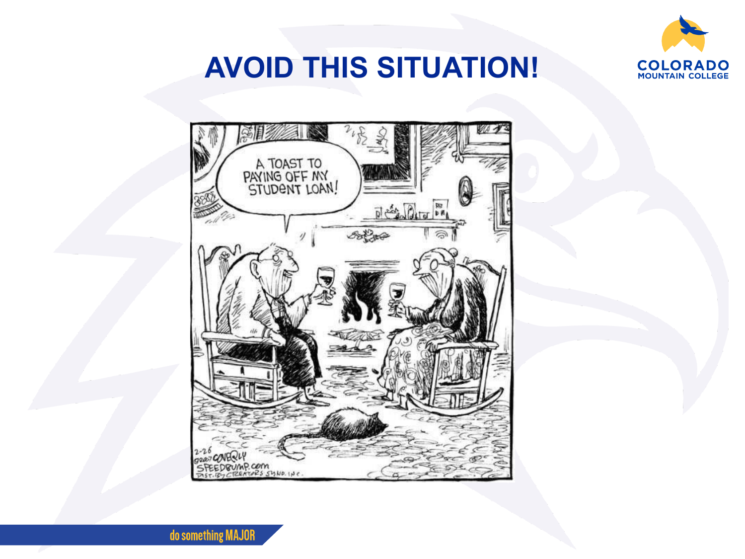

## **AVOID THIS SITUATION!**



do something MAJOR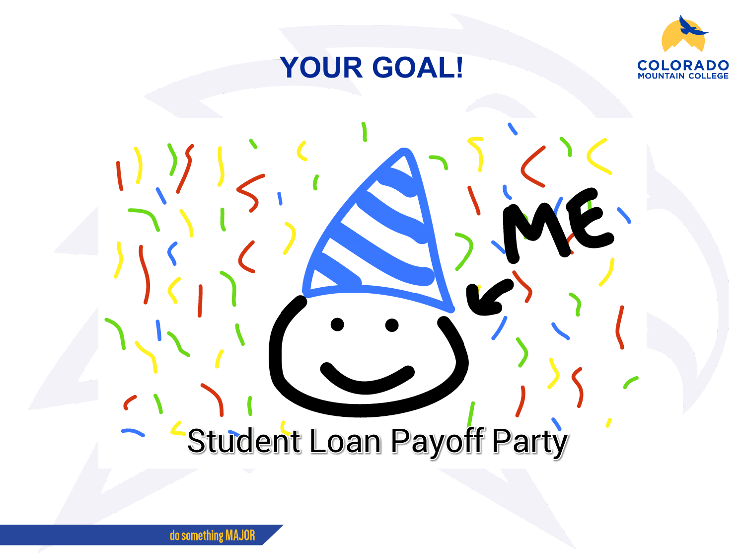

## **YOUR GOAL!**

## Student Loan Payoff Party